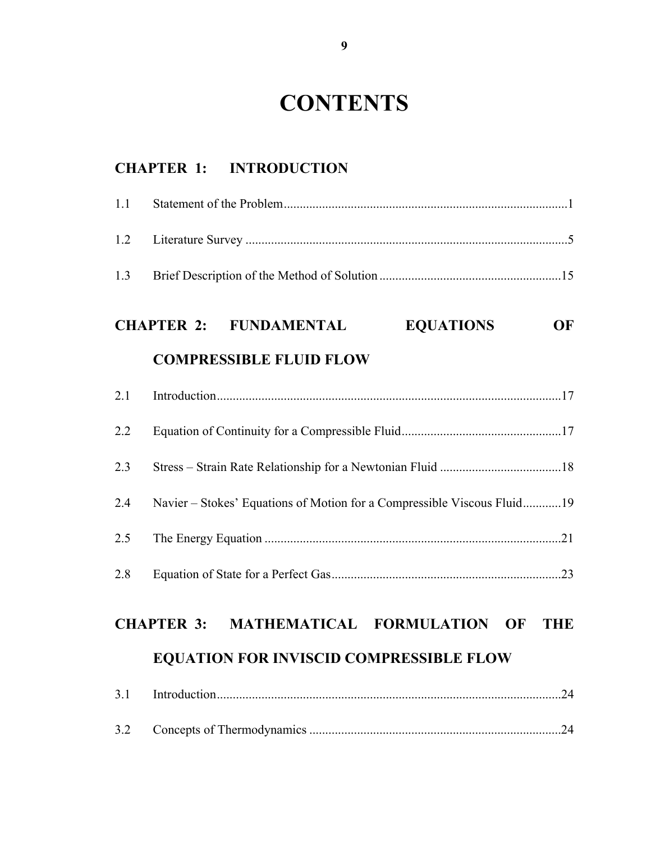# **CONTENTS**

#### **CHAPTER 1: INTRODUCTION**

# **CHAPTER 2: FUNDAMENTAL EQUATIONS OF**

#### **COMPRESSIBLE FLUID FLOW**

| 2.2 |                                                                         |  |
|-----|-------------------------------------------------------------------------|--|
| 2.3 |                                                                         |  |
| 2.4 | Navier – Stokes' Equations of Motion for a Compressible Viscous Fluid19 |  |
| 2.5 |                                                                         |  |
| 2.8 |                                                                         |  |

### **CHAPTER 3: MATHEMATICAL FORMULATION OF THE**

#### **EQUATION FOR INVISCID COMPRESSIBLE FLOW**

| $\sim$<br><u>.</u> |  |  |  |
|--------------------|--|--|--|
|--------------------|--|--|--|

| 3.2 |  |  |
|-----|--|--|
|-----|--|--|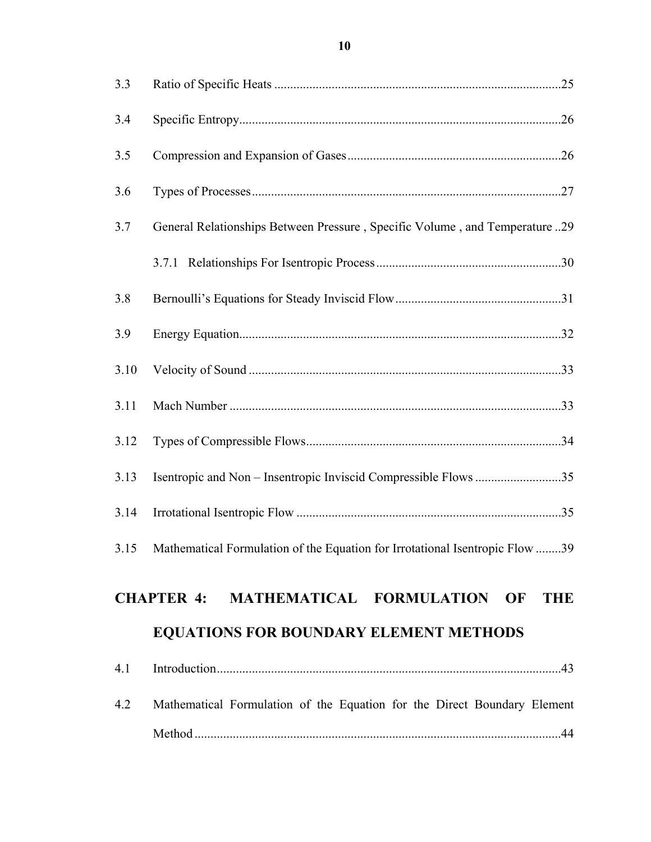| 3.3  |                                                                                   |
|------|-----------------------------------------------------------------------------------|
| 3.4  |                                                                                   |
| 3.5  |                                                                                   |
| 3.6  |                                                                                   |
| 3.7  | General Relationships Between Pressure, Specific Volume, and Temperature29        |
|      |                                                                                   |
| 3.8  |                                                                                   |
| 3.9  |                                                                                   |
| 3.10 |                                                                                   |
| 3.11 |                                                                                   |
| 3.12 |                                                                                   |
| 3.13 | Isentropic and Non – Insentropic Inviscid Compressible Flows 35                   |
| 3.14 |                                                                                   |
|      | 3.15 Mathematical Formulation of the Equation for Irrotational Isentropic Flow 39 |
|      | CHAPTER 4: MATHEMATICAL FORMULATION OF THE                                        |
|      | <b>EQUATIONS FOR BOUNDARY ELEMENT METHODS</b>                                     |
| 4.1  |                                                                                   |
| 4.2  |                                                                                   |
|      | Mathematical Formulation of the Equation for the Direct Boundary Element          |
|      |                                                                                   |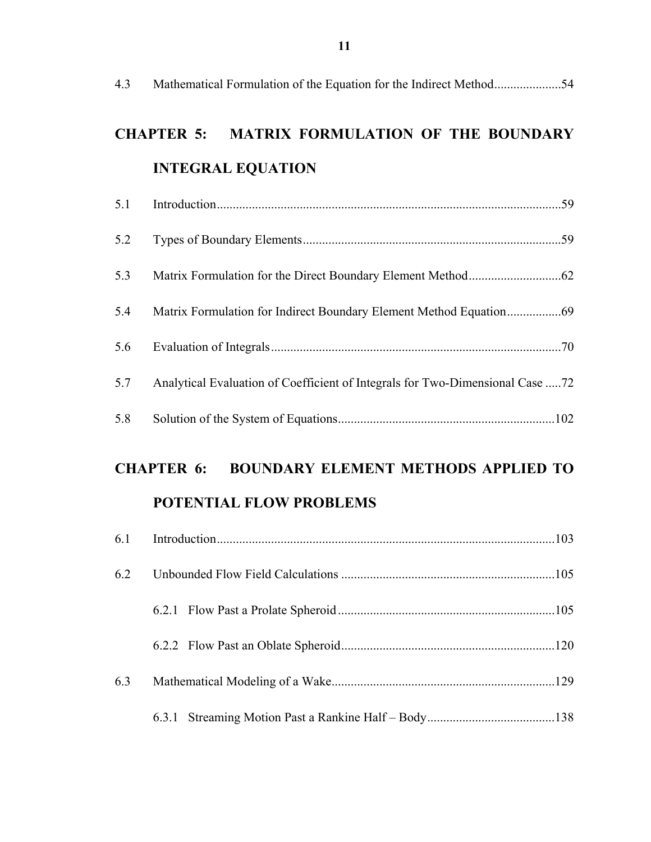| 4.3                                                             | Mathematical Formulation of the Equation for the Indirect Method54            |  |
|-----------------------------------------------------------------|-------------------------------------------------------------------------------|--|
|                                                                 | <b>MATRIX FORMULATION OF THE BOUNDARY</b><br><b>CHAPTER 5:</b>                |  |
|                                                                 | <b>INTEGRAL EQUATION</b>                                                      |  |
| 5.1                                                             |                                                                               |  |
| 5.2                                                             |                                                                               |  |
| 5.3                                                             |                                                                               |  |
| 5.4                                                             |                                                                               |  |
| 5.6                                                             |                                                                               |  |
| 5.7                                                             | Analytical Evaluation of Coefficient of Integrals for Two-Dimensional Case 72 |  |
| 5.8                                                             |                                                                               |  |
| <b>BOUNDARY ELEMENT METHODS APPLIED TO</b><br><b>CHAPTER 6:</b> |                                                                               |  |
|                                                                 | <b>POTENTIAL FLOW PROBLEMS</b>                                                |  |
| 6.1                                                             |                                                                               |  |

| 6.2 |  |
|-----|--|
|     |  |
|     |  |
| 6.3 |  |
|     |  |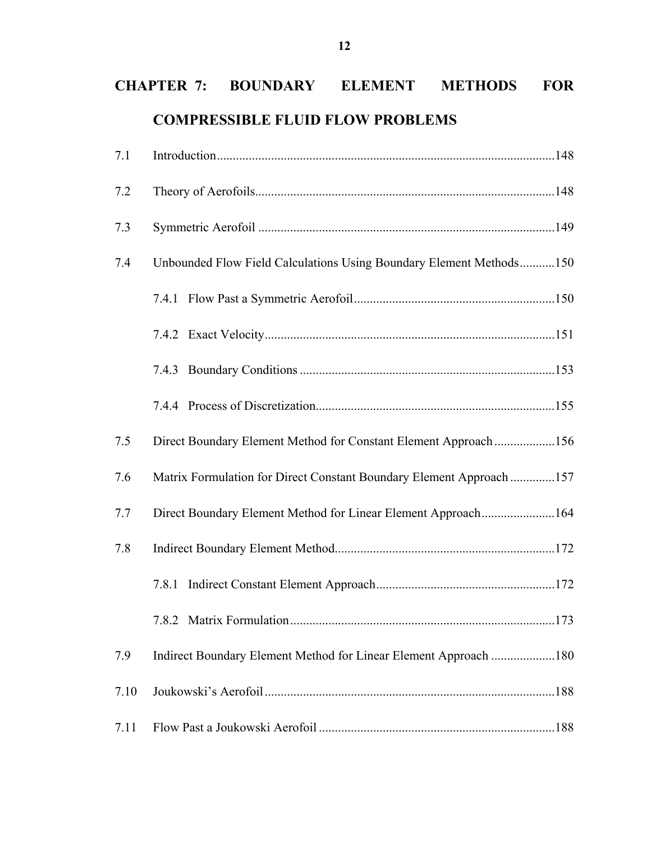# **CHAPTER 7: BOUNDARY ELEMENT METHODS FOR COMPRESSIBLE FLUID FLOW PROBLEMS**

| 7.1  |                                                                      |  |
|------|----------------------------------------------------------------------|--|
| 7.2  |                                                                      |  |
| 7.3  |                                                                      |  |
| 7.4  | Unbounded Flow Field Calculations Using Boundary Element Methods150  |  |
|      |                                                                      |  |
|      |                                                                      |  |
|      |                                                                      |  |
|      |                                                                      |  |
| 7.5  | Direct Boundary Element Method for Constant Element Approach156      |  |
| 7.6  | Matrix Formulation for Direct Constant Boundary Element Approach 157 |  |
| 7.7  | Direct Boundary Element Method for Linear Element Approach164        |  |
| 7.8  |                                                                      |  |
|      | 7.8.1                                                                |  |
|      |                                                                      |  |
| 7.9  | Indirect Boundary Element Method for Linear Element Approach 180     |  |
| 7.10 |                                                                      |  |
| 7.11 |                                                                      |  |